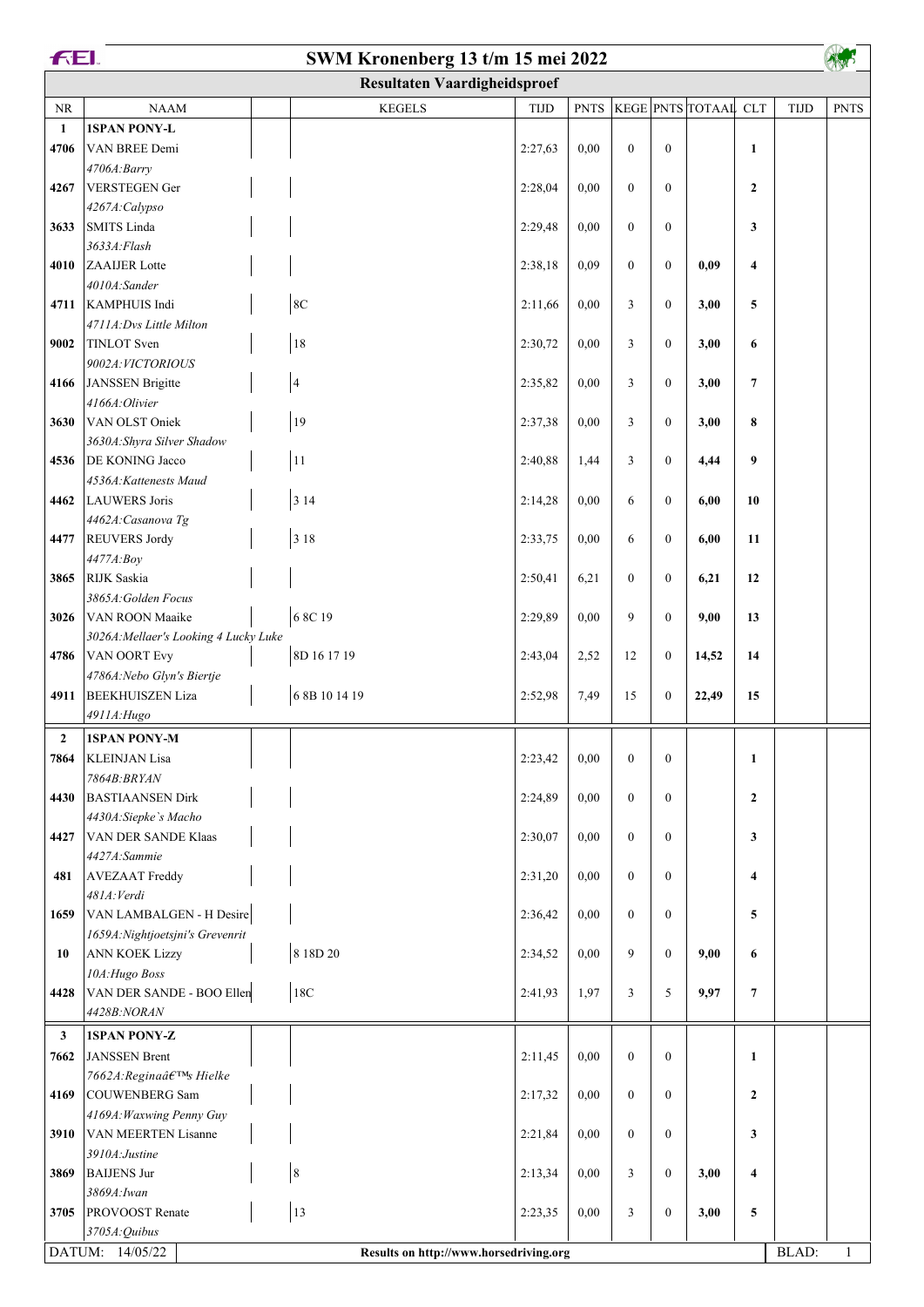| <b>FEI.</b><br>SWM Kronenberg 13 t/m 15 mei 2022 |                                               |  |                                        |             |             |                |                  |                      |                         |             |              |
|--------------------------------------------------|-----------------------------------------------|--|----------------------------------------|-------------|-------------|----------------|------------------|----------------------|-------------------------|-------------|--------------|
|                                                  |                                               |  | <b>Resultaten Vaardigheidsproef</b>    |             |             |                |                  |                      |                         |             |              |
| <b>NR</b>                                        | <b>NAAM</b>                                   |  | <b>KEGELS</b>                          | <b>TIJD</b> | <b>PNTS</b> |                |                  | KEGE PNTS TOTAAL CLT |                         | <b>TIJD</b> | <b>PNTS</b>  |
| $\mathbf{1}$                                     | <b>1SPAN PONY-L</b>                           |  |                                        |             |             |                |                  |                      |                         |             |              |
| 4706                                             | VAN BREE Demi                                 |  |                                        | 2:27,63     | 0,00        | $\mathbf{0}$   | $\mathbf{0}$     |                      | $\mathbf{1}$            |             |              |
|                                                  | 4706A:Barry                                   |  |                                        |             |             |                |                  |                      |                         |             |              |
| 4267                                             | <b>VERSTEGEN Ger</b>                          |  |                                        | 2:28,04     | 0,00        | $\mathbf{0}$   | $\mathbf{0}$     |                      | $\overline{2}$          |             |              |
|                                                  | 4267A:Calypso                                 |  |                                        |             |             |                |                  |                      |                         |             |              |
| 3633                                             | SMITS Linda                                   |  |                                        | 2:29,48     | 0,00        | $\mathbf{0}$   | $\mathbf{0}$     |                      | 3                       |             |              |
|                                                  | 3633A:Flash                                   |  |                                        |             |             |                |                  |                      |                         |             |              |
| 4010                                             | ZAAIJER Lotte                                 |  |                                        | 2:38,18     | 0,09        | $\mathbf{0}$   | $\mathbf{0}$     | 0,09                 | $\overline{\mathbf{4}}$ |             |              |
|                                                  | 4010A:Sander<br>4711   KAMPHUIS Indi          |  | 8 <sup>C</sup>                         |             |             | 3              | $\mathbf{0}$     |                      |                         |             |              |
|                                                  | 4711A: Dvs Little Milton                      |  |                                        | 2:11,66     | 0,00        |                |                  | 3,00                 | 5                       |             |              |
| 9002                                             | TINLOT Sven                                   |  | 18                                     | 2:30,72     | 0,00        | 3              | $\mathbf{0}$     | 3,00                 | 6                       |             |              |
|                                                  | 9002A: VICTORIOUS                             |  |                                        |             |             |                |                  |                      |                         |             |              |
| 4166                                             | JANSSEN Brigitte                              |  | $\overline{\mathbf{4}}$                | 2:35,82     | 0,00        | 3              | $\boldsymbol{0}$ | 3,00                 | $\overline{7}$          |             |              |
|                                                  | 4166A:Olivier                                 |  |                                        |             |             |                |                  |                      |                         |             |              |
| 3630                                             | VAN OLST Oniek                                |  | 19                                     | 2:37,38     | 0,00        | 3              | $\boldsymbol{0}$ | 3,00                 | 8                       |             |              |
|                                                  | 3630A: Shyra Silver Shadow                    |  |                                        |             |             |                |                  |                      |                         |             |              |
| 4536                                             | <b>DE KONING Jacco</b>                        |  | 11                                     | 2:40,88     | 1,44        | 3              | $\mathbf{0}$     | 4,44                 | 9                       |             |              |
|                                                  | 4536A: Kattenests Maud                        |  |                                        |             |             |                |                  |                      |                         |             |              |
| 4462                                             | LAUWERS Joris                                 |  | 3 1 4                                  | 2:14,28     | 0,00        | 6              | $\mathbf{0}$     | 6,00                 | 10                      |             |              |
|                                                  | 4462A: Casanova Tg                            |  |                                        |             |             |                |                  |                      |                         |             |              |
| 4477                                             | <b>REUVERS Jordy</b>                          |  | 3 1 8                                  | 2:33,75     | 0,00        | 6              | $\mathbf{0}$     | 6,00                 | 11                      |             |              |
|                                                  | 4477A:Boy                                     |  |                                        |             |             |                |                  |                      |                         |             |              |
| 3865                                             | RIJK Saskia                                   |  |                                        | 2:50,41     | 6,21        | $\mathbf{0}$   | $\mathbf{0}$     | 6,21                 | 12                      |             |              |
| 3026                                             | 3865A: Golden Focus<br><b>VAN ROON Maaike</b> |  | 6 8C 19                                | 2:29,89     | 0,00        | 9              | $\mathbf{0}$     | 9,00                 | 13                      |             |              |
|                                                  | 3026A: Mellaer's Looking 4 Lucky Luke         |  |                                        |             |             |                |                  |                      |                         |             |              |
| 4786                                             | <b>VAN OORT Evy</b>                           |  | 8D 16 17 19                            | 2:43,04     | 2,52        | 12             | $\mathbf{0}$     | 14,52                | 14                      |             |              |
|                                                  | 4786A: Nebo Glyn's Biertje                    |  |                                        |             |             |                |                  |                      |                         |             |              |
| 4911                                             | <b>BEEKHUISZEN Liza</b>                       |  | 6 8B 10 14 19                          | 2:52,98     | 7,49        | 15             | $\boldsymbol{0}$ | 22,49                | 15                      |             |              |
|                                                  | 4911A: Hugo                                   |  |                                        |             |             |                |                  |                      |                         |             |              |
| $\mathbf{2}$                                     | <b>1SPAN PONY-M</b>                           |  |                                        |             |             |                |                  |                      |                         |             |              |
| 7864                                             | <b>KLEINJAN Lisa</b>                          |  |                                        | 2:23,42     | 0,00        | $\overline{0}$ | $\mathbf{0}$     |                      | $\mathbf{1}$            |             |              |
|                                                  | 7864B: BRYAN                                  |  |                                        |             |             |                |                  |                      |                         |             |              |
| 4430                                             | <b>BASTIAANSEN Dirk</b>                       |  |                                        | 2:24,89     | 0,00        | $\overline{0}$ | $\mathbf{0}$     |                      | $\mathbf{2}$            |             |              |
|                                                  | 4430A:Siepke's Macho                          |  |                                        |             |             |                |                  |                      |                         |             |              |
| 4427                                             | VAN DER SANDE Klaas                           |  |                                        | 2:30,07     | 0,00        | $\overline{0}$ | $\mathbf{0}$     |                      | 3                       |             |              |
|                                                  | 4427A:Sammie                                  |  |                                        |             |             |                |                  |                      |                         |             |              |
| 481                                              | AVEZAAT Freddy                                |  |                                        | 2:31,20     | 0,00        | $\overline{0}$ | $\mathbf{0}$     |                      | $\overline{\mathbf{4}}$ |             |              |
|                                                  | 481A: Verdi<br>VAN LAMBALGEN - H Desire       |  |                                        |             |             | $\overline{0}$ | $\mathbf{0}$     |                      | 5                       |             |              |
| 1659                                             | 1659A: Nightjoetsjni's Grevenrit              |  |                                        | 2:36,42     | 0.00        |                |                  |                      |                         |             |              |
| 10                                               | <b>ANN KOEK Lizzy</b>                         |  | 8 18D 20                               | 2:34,52     | 0,00        | 9              | $\mathbf{0}$     | 9,00                 | 6                       |             |              |
|                                                  | 10A: Hugo Boss                                |  |                                        |             |             |                |                  |                      |                         |             |              |
| 4428                                             | VAN DER SANDE - BOO Ellen                     |  | 18C                                    | 2:41,93     | 1,97        | 3              | 5                | 9,97                 | $\overline{7}$          |             |              |
|                                                  | 4428B:NORAN                                   |  |                                        |             |             |                |                  |                      |                         |             |              |
| $\mathbf{3}$                                     | <b>1SPAN PONY-Z</b>                           |  |                                        |             |             |                |                  |                      |                         |             |              |
| 7662                                             | JANSSEN Brent                                 |  |                                        | 2:11,45     | 0,00        | $\overline{0}$ | $\mathbf{0}$     |                      | $\mathbf{1}$            |             |              |
|                                                  | 7662A: Regina's Hielke                        |  |                                        |             |             |                |                  |                      |                         |             |              |
| 4169                                             | COUWENBERG Sam                                |  |                                        | 2:17,32     | 0,00        | $\overline{0}$ | $\mathbf{0}$     |                      | $\mathbf{2}$            |             |              |
|                                                  | 4169A: Waxwing Penny Guy                      |  |                                        |             |             |                |                  |                      |                         |             |              |
| 3910                                             | <b>VAN MEERTEN Lisanne</b>                    |  |                                        | 2:21,84     | 0,00        | $\overline{0}$ | $\mathbf{0}$     |                      | 3                       |             |              |
|                                                  | 3910A: Justine                                |  |                                        |             |             |                |                  |                      |                         |             |              |
| 3869                                             | <b>BAIJENS Jur</b>                            |  | $\,$ 8 $\,$                            | 2:13,34     | 0.00        | 3              | $\mathbf{0}$     | 3,00                 | $\overline{\mathbf{4}}$ |             |              |
|                                                  | 3869A: Iwan                                   |  |                                        |             |             |                |                  |                      |                         |             |              |
| 3705                                             | <b>PROVOOST</b> Renate                        |  | 13                                     | 2:23,35     | 0,00        | 3              | $\mathbf{0}$     | 3,00                 | 5                       |             |              |
|                                                  | 3705A: Quibus                                 |  |                                        |             |             |                |                  |                      |                         |             |              |
|                                                  | DATUM: 14/05/22                               |  | Results on http://www.horsedriving.org |             |             |                |                  |                      |                         | BLAD:       | $\mathbf{1}$ |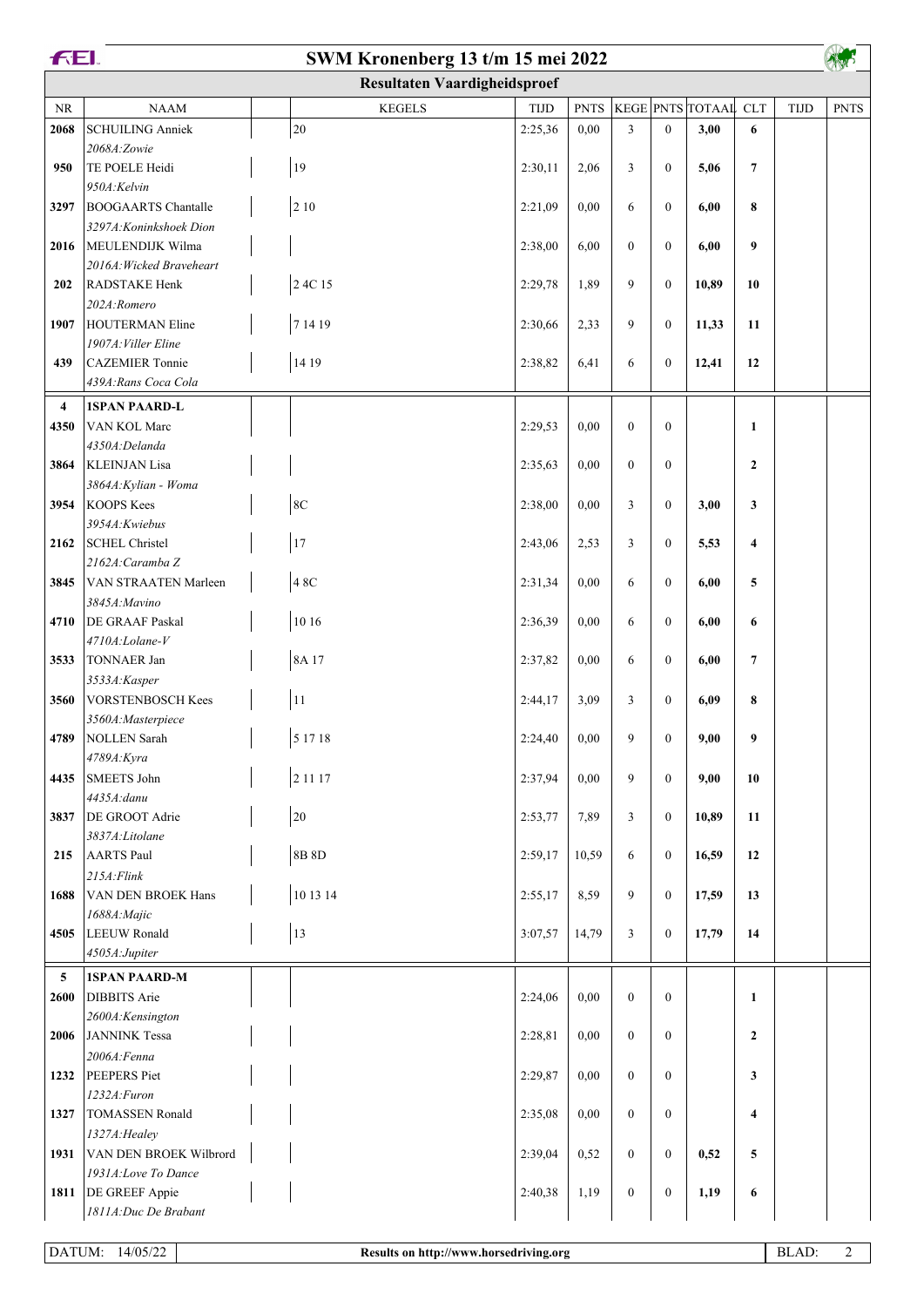| <b>FEI.</b>    |                                               | SWM Kronenberg 13 t/m 15 mei 2022   |             |             |                |                  |                      |                |             |             |
|----------------|-----------------------------------------------|-------------------------------------|-------------|-------------|----------------|------------------|----------------------|----------------|-------------|-------------|
|                |                                               | <b>Resultaten Vaardigheidsproef</b> |             |             |                |                  |                      |                |             |             |
| NR             | <b>NAAM</b>                                   | <b>KEGELS</b>                       | <b>TIJD</b> | <b>PNTS</b> |                |                  | KEGE PNTS TOTAAL CLT |                | <b>TIJD</b> | <b>PNTS</b> |
| 2068           | <b>SCHUILING Anniek</b>                       | 20                                  | 2:25,36     | 0,00        | $\overline{3}$ | $\mathbf{0}$     | 3,00                 | 6              |             |             |
|                | 2068A:Zowie                                   |                                     |             |             |                |                  |                      |                |             |             |
| 950            | TE POELE Heidi                                | 19                                  | 2:30,11     | 2,06        | 3              | $\mathbf{0}$     | 5,06                 | $\overline{7}$ |             |             |
| 3297           | 950A:Kelvin<br><b>BOOGAARTS</b> Chantalle     | 210                                 | 2:21,09     | 0.00        | 6              | $\mathbf{0}$     | 6,00                 | 8              |             |             |
|                | 3297A: Koninkshoek Dion                       |                                     |             |             |                |                  |                      |                |             |             |
| 2016           | MEULENDIJK Wilma                              |                                     | 2:38,00     | 6,00        | $\overline{0}$ | $\mathbf{0}$     | 6,00                 | 9              |             |             |
|                | 2016A: Wicked Braveheart                      |                                     |             |             |                |                  |                      |                |             |             |
| 202            | RADSTAKE Henk                                 | 2 4C 15                             | 2:29,78     | 1,89        | 9              | $\boldsymbol{0}$ | 10,89                | 10             |             |             |
|                | 202A:Romero                                   |                                     |             |             |                |                  |                      |                |             |             |
| 1907           | <b>HOUTERMAN Eline</b>                        | 7 14 19                             | 2:30,66     | 2,33        | 9              | $\mathbf{0}$     | 11,33                | 11             |             |             |
| 439            | 1907A: Viller Eline<br><b>CAZEMIER</b> Tonnie | 14 19                               | 2:38,82     | 6,41        | 6              | $\mathbf{0}$     | 12,41                | 12             |             |             |
|                | 439A: Rans Coca Cola                          |                                     |             |             |                |                  |                      |                |             |             |
| $\overline{4}$ | <b>1SPAN PAARD-L</b>                          |                                     |             |             |                |                  |                      |                |             |             |
| 4350           | VAN KOL Marc                                  |                                     | 2:29,53     | 0,00        | $\mathbf{0}$   | $\mathbf{0}$     |                      | $\mathbf{1}$   |             |             |
|                | 4350A:Delanda                                 |                                     |             |             |                |                  |                      |                |             |             |
| 3864           | <b>KLEINJAN</b> Lisa                          |                                     | 2:35,63     | 0,00        | $\theta$       | $\mathbf{0}$     |                      | $\mathbf{2}$   |             |             |
|                | 3864A: Kylian - Woma                          |                                     |             |             |                |                  |                      |                |             |             |
| 3954           | KOOPS Kees                                    | $8\mathrm{C}$                       | 2:38,00     | 0,00        | 3              | $\mathbf{0}$     | 3,00                 | 3              |             |             |
| 2162           | 3954A: Kwiebus<br>SCHEL Christel              | 17                                  | 2:43,06     | 2,53        | 3              | $\mathbf{0}$     | 5,53                 | 4              |             |             |
|                | 2162A: Caramba Z                              |                                     |             |             |                |                  |                      |                |             |             |
| 3845           | VAN STRAATEN Marleen                          | 4 8C                                | 2:31,34     | 0,00        | 6              | $\boldsymbol{0}$ | 6,00                 | 5              |             |             |
|                | 3845A: Mavino                                 |                                     |             |             |                |                  |                      |                |             |             |
| 4710           | <b>DE GRAAF Paskal</b>                        | 10 16                               | 2:36,39     | 0,00        | 6              | $\mathbf{0}$     | 6,00                 | 6              |             |             |
|                | 4710A:Lolane-V                                |                                     |             |             |                |                  |                      |                |             |             |
| 3533           | TONNAER Jan                                   | 8A 17                               | 2:37,82     | 0.00        | 6              | $\mathbf{0}$     | 6,00                 | $\overline{7}$ |             |             |
| 3560           | 3533A:Kasper<br><b>VORSTENBOSCH Kees</b>      | $1\,1$                              | 2:44,17     | 3,09        | 3              | $\mathbf{0}$     | 6,09                 | 8              |             |             |
|                | 3560A:Masterpiece                             |                                     |             |             |                |                  |                      |                |             |             |
|                | 4789   NOLLEN Sarah                           | 5 17 18                             | 2:24,40     | 0,00        | 9              | $\boldsymbol{0}$ | 9,00                 | 9              |             |             |
|                | 4789A: Kyra                                   |                                     |             |             |                |                  |                      |                |             |             |
| 4435           | SMEETS John                                   | 2 1 1 1 7                           | 2:37,94     | 0.00        | 9              | $\boldsymbol{0}$ | 9,00                 | 10             |             |             |
|                | $4435A$ : danu                                |                                     |             |             |                |                  |                      |                |             |             |
| 3837           | DE GROOT Adrie<br>3837A:Litolane              | $20\,$                              | 2:53,77     | 7,89        | 3              | $\mathbf{0}$     | 10,89                | 11             |             |             |
| 215            | AARTS Paul                                    | 8B 8D                               | 2:59,17     | 10,59       | 6              | $\mathbf{0}$     | 16,59                | 12             |             |             |
|                | $215A$ : Flink                                |                                     |             |             |                |                  |                      |                |             |             |
| 1688           | VAN DEN BROEK Hans                            | 10 13 14                            | 2:55,17     | 8,59        | 9              | $\overline{0}$   | 17,59                | 13             |             |             |
|                | 1688A: Majic                                  |                                     |             |             |                |                  |                      |                |             |             |
| 4505           | LEEUW Ronald                                  | 13                                  | 3:07,57     | 14,79       | 3              | $\mathbf{0}$     | 17,79                | 14             |             |             |
|                | 4505A:Jupiter                                 |                                     |             |             |                |                  |                      |                |             |             |
| 5<br>2600      | <b>1SPAN PAARD-M</b><br><b>DIBBITS</b> Arie   |                                     | 2:24,06     | 0.00        | $\overline{0}$ | $\overline{0}$   |                      | $\mathbf{1}$   |             |             |
|                | 2600A:Kensington                              |                                     |             |             |                |                  |                      |                |             |             |
| 2006           | JANNINK Tessa                                 |                                     | 2:28,81     | 0.00        | $\mathbf{0}$   | $\mathbf{0}$     |                      | $\mathbf{2}$   |             |             |
|                | 2006A: Fenna                                  |                                     |             |             |                |                  |                      |                |             |             |
| 1232           | PEEPERS Piet                                  |                                     | 2:29,87     | 0,00        | $\overline{0}$ | $\mathbf{0}$     |                      | 3              |             |             |
|                | 1232A: Furon                                  |                                     |             |             |                |                  |                      |                |             |             |
| 1327           | <b>TOMASSEN</b> Ronald                        |                                     | 2:35,08     | 0.00        | $\overline{0}$ | $\mathbf{0}$     |                      | 4              |             |             |
| 1931           | 1327A: Healey<br>VAN DEN BROEK Wilbrord       |                                     | 2:39,04     | 0,52        | $\overline{0}$ | $\mathbf{0}$     | 0,52                 | 5              |             |             |
|                | 1931A:Love To Dance                           |                                     |             |             |                |                  |                      |                |             |             |
| 1811           | <b>DE GREEF Appie</b>                         |                                     | 2:40,38     | 1,19        | $\mathbf{0}$   | $\boldsymbol{0}$ | 1,19                 | 6              |             |             |
|                | 1811A: Duc De Brabant                         |                                     |             |             |                |                  |                      |                |             |             |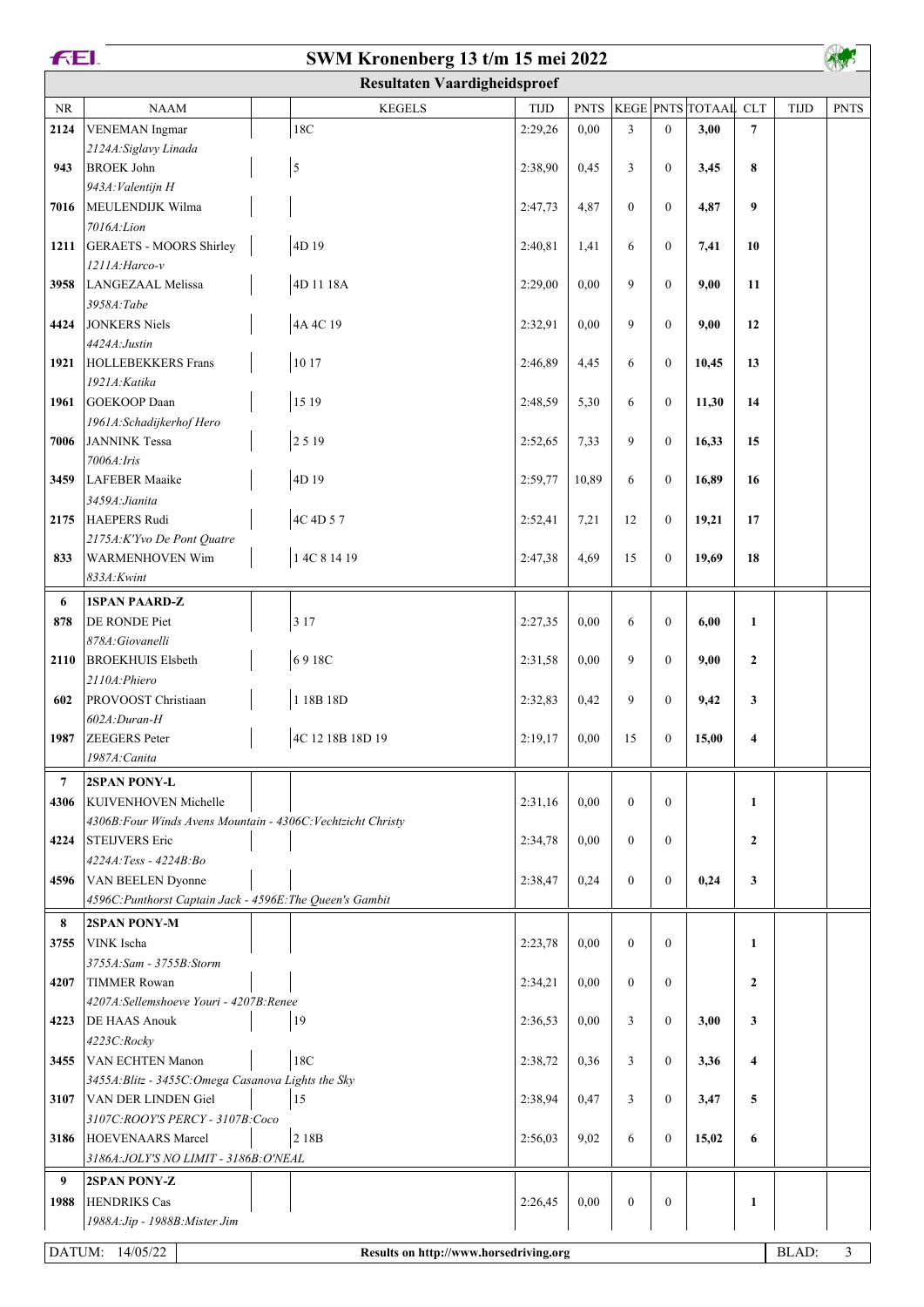| <b>FEL</b><br>SWM Kronenberg 13 t/m 15 mei 2022 |                                                                                       |                                        |         |             |                |                |                      |                  |             |                |
|-------------------------------------------------|---------------------------------------------------------------------------------------|----------------------------------------|---------|-------------|----------------|----------------|----------------------|------------------|-------------|----------------|
|                                                 |                                                                                       | <b>Resultaten Vaardigheidsproef</b>    |         |             |                |                |                      |                  |             |                |
| NR                                              | <b>NAAM</b>                                                                           | <b>KEGELS</b>                          | TIJD    | <b>PNTS</b> |                |                | KEGE PNTS TOTAAL CLT |                  | <b>TIJD</b> | <b>PNTS</b>    |
| 2124                                            | <b>VENEMAN</b> Ingmar                                                                 | 18C                                    | 2:29,26 | 0,00        | $\overline{3}$ | $\mathbf{0}$   | 3,00                 | $\overline{7}$   |             |                |
|                                                 | 2124A: Siglavy Linada                                                                 |                                        |         |             |                |                |                      |                  |             |                |
| 943                                             | <b>BROEK John</b>                                                                     | $\sqrt{5}$                             | 2:38,90 | 0,45        | 3              | $\mathbf{0}$   | 3,45                 | 8                |             |                |
|                                                 | 943A: Valentijn H                                                                     |                                        |         |             |                |                |                      |                  |             |                |
| 7016                                            | MEULENDIJK Wilma                                                                      |                                        | 2:47,73 | 4,87        | $\theta$       | $\mathbf{0}$   | 4,87                 | 9                |             |                |
| 1211                                            | 7016A: Lion<br>GERAETS - MOORS Shirley                                                | 4D 19                                  | 2:40,81 | 1,41        | 6              | $\mathbf{0}$   | 7,41                 | 10               |             |                |
|                                                 | 1211A: Harco-v                                                                        |                                        |         |             |                |                |                      |                  |             |                |
| 3958                                            | LANGEZAAL Melissa                                                                     | 4D 11 18A                              | 2:29,00 | 0,00        | 9              | $\mathbf{0}$   | 9,00                 | 11               |             |                |
|                                                 | 3958A:Tabe                                                                            |                                        |         |             |                |                |                      |                  |             |                |
| 4424                                            | JONKERS Niels                                                                         | 4A 4C 19                               | 2:32,91 | 0,00        | 9              | $\mathbf{0}$   | 9,00                 | 12               |             |                |
|                                                 | 4424A: Justin                                                                         |                                        |         |             |                |                |                      |                  |             |                |
| 1921                                            | <b>HOLLEBEKKERS</b> Frans                                                             | 10 17                                  | 2:46,89 | 4,45        | 6              | $\mathbf{0}$   | 10,45                | 13               |             |                |
|                                                 | 1921A: Katika                                                                         |                                        |         |             |                |                |                      |                  |             |                |
| 1961                                            | GOEKOOP Daan                                                                          | 15 19                                  | 2:48,59 | 5,30        | 6              | $\mathbf{0}$   | 11,30                | 14               |             |                |
| 7006                                            | 1961A: Schadijkerhof Hero<br>JANNINK Tessa                                            | 2519                                   | 2:52,65 | 7,33        | 9              | $\mathbf{0}$   | 16,33                | 15               |             |                |
|                                                 | 7006A: Iris                                                                           |                                        |         |             |                |                |                      |                  |             |                |
| 3459                                            | LAFEBER Maaike                                                                        | 4D 19                                  | 2:59,77 | 10,89       | 6              | $\Omega$       | 16,89                | 16               |             |                |
|                                                 | 3459A: Jianita                                                                        |                                        |         |             |                |                |                      |                  |             |                |
| 2175                                            | HAEPERS Rudi                                                                          | 4C 4D 57                               | 2:52,41 | 7,21        | 12             | $\mathbf{0}$   | 19,21                | 17               |             |                |
|                                                 | 2175A: K'Yvo De Pont Quatre                                                           |                                        |         |             |                |                |                      |                  |             |                |
| 833                                             | <b>WARMENHOVEN Wim</b>                                                                | 1 4C 8 14 19                           | 2:47,38 | 4,69        | 15             | $\mathbf{0}$   | 19,69                | 18               |             |                |
|                                                 | 833A: Kwint                                                                           |                                        |         |             |                |                |                      |                  |             |                |
| 6                                               | <b>1SPAN PAARD-Z</b>                                                                  |                                        |         |             |                |                |                      |                  |             |                |
| 878                                             | DE RONDE Piet                                                                         | 3 1 7                                  | 2:27,35 | 0,00        | 6              | $\mathbf{0}$   | 6,00                 | $\mathbf{1}$     |             |                |
| 2110                                            | 878A: Giovanelli<br><b>BROEKHUIS Elsbeth</b>                                          | 6918C                                  | 2:31,58 | 0,00        | 9              | $\mathbf{0}$   | 9,00                 | $\overline{2}$   |             |                |
|                                                 | 2110A: Phiero                                                                         |                                        |         |             |                |                |                      |                  |             |                |
| 602                                             | PROVOOST Christiaan                                                                   | 1 18B 18D                              | 2:32,83 | 0,42        | 9              | $\mathbf{0}$   | 9,42                 | 3                |             |                |
|                                                 | $ 602A:Duran-H$                                                                       |                                        |         |             |                |                |                      |                  |             |                |
|                                                 | 1987 ZEEGERS Peter                                                                    | 4C 12 18B 18D 19                       | 2:19,17 | $0,\!00$    | $15\,$         | $\overline{0}$ | 15,00                | 4                |             |                |
|                                                 | 1987A: Canita                                                                         |                                        |         |             |                |                |                      |                  |             |                |
| $\overline{7}$                                  | <b>2SPAN PONY-L</b>                                                                   |                                        |         |             |                |                |                      |                  |             |                |
| 4306                                            | <b>KUIVENHOVEN Michelle</b>                                                           |                                        | 2:31,16 | 0,00        | $\overline{0}$ | $\mathbf{0}$   |                      | $\mathbf{1}$     |             |                |
|                                                 | 4306B: Four Winds Avens Mountain - 4306C: Vechtzicht Christy                          |                                        |         |             |                |                |                      |                  |             |                |
| 4224                                            | <b>STEIJVERS</b> Eric                                                                 |                                        | 2:34,78 | 0,00        | $\overline{0}$ | $\mathbf{0}$   |                      | $\boldsymbol{2}$ |             |                |
|                                                 | 4224A: Tess - 4224B: Bo                                                               |                                        |         |             |                |                |                      |                  |             |                |
| 4596                                            | <b>VAN BEELEN Dyonne</b><br>4596C: Punthorst Captain Jack - 4596E: The Queen's Gambit |                                        | 2:38,47 | 0,24        | $\overline{0}$ | $\mathbf{0}$   | 0,24                 | 3                |             |                |
| 8                                               | <b>2SPAN PONY-M</b>                                                                   |                                        |         |             |                |                |                      |                  |             |                |
| 3755                                            | VINK Ischa                                                                            |                                        | 2:23,78 | 0,00        | $\overline{0}$ | $\mathbf{0}$   |                      | $\mathbf{1}$     |             |                |
|                                                 | 3755A:Sam - 3755B:Storm                                                               |                                        |         |             |                |                |                      |                  |             |                |
| 4207                                            | <b>TIMMER Rowan</b>                                                                   |                                        | 2:34,21 | 0,00        | $\overline{0}$ | $\mathbf{0}$   |                      | $\overline{2}$   |             |                |
|                                                 | 4207A:Sellemshoeve Youri - 4207B:Renee                                                |                                        |         |             |                |                |                      |                  |             |                |
| 4223                                            | <b>DE HAAS Anouk</b>                                                                  | 19                                     | 2:36,53 | 0,00        | 3              | $\mathbf{0}$   | 3,00                 | 3                |             |                |
|                                                 | 4223C:Rocky                                                                           |                                        |         |             |                |                |                      |                  |             |                |
| 3455                                            | <b>VAN ECHTEN Manon</b>                                                               | 18C                                    | 2:38,72 | 0,36        | 3              | $\mathbf{0}$   | 3,36                 | 4                |             |                |
|                                                 | 3455A: Blitz - 3455C: Omega Casanova Lights the Sky                                   |                                        |         |             |                |                |                      |                  |             |                |
| 3107                                            | VAN DER LINDEN Giel                                                                   | 15                                     | 2:38,94 | 0,47        | 3              | $\mathbf{0}$   | 3,47                 | 5                |             |                |
| 3186                                            | 3107C:ROOY'S PERCY - 3107B:Coco<br>HOEVENAARS Marcel                                  | 2 18B                                  | 2:56,03 | 9,02        | 6              | $\mathbf{0}$   | 15,02                | 6                |             |                |
|                                                 | 3186A: JOLY'S NO LIMIT - 3186B: O'NEAL                                                |                                        |         |             |                |                |                      |                  |             |                |
| 9                                               | <b>2SPAN PONY-Z</b>                                                                   |                                        |         |             |                |                |                      |                  |             |                |
| 1988                                            | <b>HENDRIKS</b> Cas                                                                   |                                        | 2:26,45 | 0,00        | $\mathbf{0}$   | $\mathbf{0}$   |                      | 1                |             |                |
|                                                 | 1988A: Jip - 1988B: Mister Jim                                                        |                                        |         |             |                |                |                      |                  |             |                |
|                                                 |                                                                                       |                                        |         |             |                |                |                      |                  |             |                |
|                                                 | DATUM: 14/05/22                                                                       | Results on http://www.horsedriving.org |         |             |                |                |                      |                  | BLAD:       | $\mathfrak{Z}$ |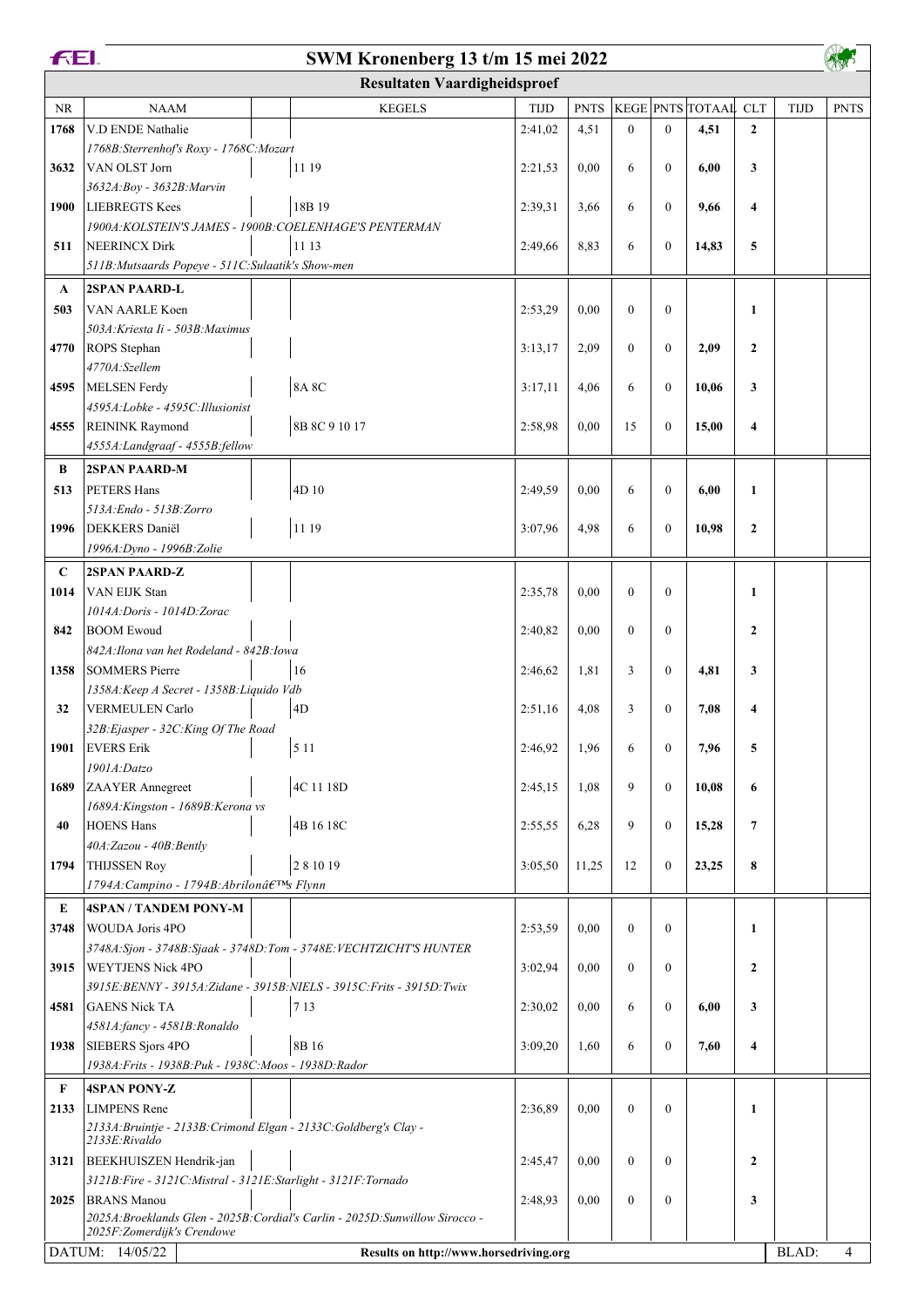| <b>FEI.</b><br>SWM Kronenberg 13 t/m 15 mei 2022 |                                                                                    |                                     |         |             |                |                  |                             |                         |             |                |
|--------------------------------------------------|------------------------------------------------------------------------------------|-------------------------------------|---------|-------------|----------------|------------------|-----------------------------|-------------------------|-------------|----------------|
|                                                  |                                                                                    | <b>Resultaten Vaardigheidsproef</b> |         |             |                |                  |                             |                         |             |                |
| <b>NR</b>                                        | <b>NAAM</b>                                                                        | <b>KEGELS</b>                       | TIJD    | <b>PNTS</b> |                |                  | <b>KEGE PNTS TOTAAL CLT</b> |                         | <b>TIJD</b> | <b>PNTS</b>    |
| 1768                                             | V.D ENDE Nathalie                                                                  |                                     | 2:41,02 | 4,51        | $\overline{0}$ | $\mathbf{0}$     | 4,51                        | $\overline{2}$          |             |                |
|                                                  | 1768B: Sterrenhof's Roxy - 1768C: Mozart                                           |                                     |         |             |                |                  |                             |                         |             |                |
| 3632                                             | VAN OLST Jorn                                                                      | 11 19                               | 2:21,53 | 0,00        | 6              | $\mathbf{0}$     | 6,00                        | $\mathbf{3}$            |             |                |
|                                                  | 3632A: Boy - 3632B: Marvin                                                         |                                     |         |             |                |                  |                             |                         |             |                |
| 1900                                             | <b>LIEBREGTS Kees</b>                                                              | 18B 19                              | 2:39,31 | 3,66        | 6              | $\mathbf{0}$     | 9,66                        | $\overline{\mathbf{4}}$ |             |                |
|                                                  | 1900A: KOLSTEIN'S JAMES - 1900B: COELENHAGE'S PENTERMAN                            |                                     |         |             |                |                  |                             |                         |             |                |
| 511                                              | <b>NEERINCX Dirk</b>                                                               | 11 13                               | 2:49,66 | 8,83        | 6              | $\mathbf{0}$     | 14,83                       | 5                       |             |                |
|                                                  | 511B: Mutsaards Popeye - 511C: Sulaatik's Show-men                                 |                                     |         |             |                |                  |                             |                         |             |                |
| $\mathbf A$                                      | <b>2SPAN PAARD-L</b>                                                               |                                     |         |             |                |                  |                             |                         |             |                |
| 503                                              | VAN AARLE Koen                                                                     |                                     | 2:53,29 | 0,00        | $\overline{0}$ | $\mathbf{0}$     |                             | $\mathbf{1}$            |             |                |
|                                                  | 503A: Kriesta Ii - 503B: Maximus                                                   |                                     |         |             |                |                  |                             |                         |             |                |
| 4770                                             | ROPS Stephan                                                                       |                                     | 3:13,17 | 2,09        | $\mathbf{0}$   | $\mathbf{0}$     | 2,09                        | $\mathbf{2}$            |             |                |
|                                                  | 4770A:Szellem                                                                      |                                     |         |             |                |                  |                             |                         |             |                |
| 4595                                             | MELSEN Ferdy                                                                       | <b>8A 8C</b>                        | 3:17,11 | 4,06        | 6              | $\mathbf{0}$     | 10,06                       | 3                       |             |                |
|                                                  | 4595A:Lobke - 4595C:Illusionist                                                    |                                     |         |             |                |                  |                             |                         |             |                |
| 4555                                             | <b>REININK Raymond</b>                                                             | 8B 8C 9 10 17                       | 2:58,98 | 0,00        | 15             | $\mathbf{0}$     | 15,00                       | $\overline{\mathbf{4}}$ |             |                |
|                                                  | 4555A: Landgraaf - 4555B: fellow                                                   |                                     |         |             |                |                  |                             |                         |             |                |
| B                                                | 2SPAN PAARD-M                                                                      |                                     |         |             |                |                  |                             |                         |             |                |
| 513                                              | <b>PETERS Hans</b>                                                                 | 4D 10                               | 2:49,59 | 0,00        | 6              | $\mathbf{0}$     | 6,00                        | $\mathbf{1}$            |             |                |
|                                                  | 513A: Endo - 513B: Zorro                                                           |                                     |         |             |                |                  |                             |                         |             |                |
| 1996                                             | DEKKERS Daniël                                                                     | 11 19                               | 3:07,96 | 4,98        | 6              | $\mathbf{0}$     | 10,98                       | $\mathbf{2}$            |             |                |
|                                                  | 1996A: Dyno - 1996B: Zolie                                                         |                                     |         |             |                |                  |                             |                         |             |                |
| C                                                | 2SPAN PAARD-Z                                                                      |                                     |         |             |                |                  |                             |                         |             |                |
| 1014                                             | VAN EIJK Stan                                                                      |                                     | 2:35,78 | 0,00        | $\overline{0}$ | $\mathbf{0}$     |                             | 1                       |             |                |
|                                                  | 1014A: Doris - 1014D: Zorac                                                        |                                     |         |             |                |                  |                             |                         |             |                |
| 842                                              | <b>BOOM Ewoud</b>                                                                  |                                     | 2:40,82 | 0,00        | $\mathbf{0}$   | $\mathbf{0}$     |                             | $\overline{2}$          |             |                |
|                                                  | 842A: Ilona van het Rodeland - 842B: Iowa                                          |                                     |         |             |                |                  |                             |                         |             |                |
| 1358                                             | SOMMERS Pierre                                                                     | 16                                  | 2:46,62 | 1,81        | 3              | $\mathbf{0}$     | 4,81                        | 3                       |             |                |
|                                                  | 1358A: Keep A Secret - 1358B: Liquido Vdb                                          |                                     |         |             | 3              | $\mathbf{0}$     |                             |                         |             |                |
| 32                                               | <b>VERMEULEN Carlo</b><br>32B: Ejasper - 32C: King Of The Road                     | 4D                                  | 2:51,16 | 4,08        |                |                  | 7,08                        | $\overline{\mathbf{4}}$ |             |                |
| 1901                                             | <b>EVERS</b> Erik                                                                  | 5 1 1                               | 2:46,92 | 1,96        | 6              | $\boldsymbol{0}$ | 7,96                        | 5                       |             |                |
|                                                  | 1901A:Datzo                                                                        |                                     |         |             |                |                  |                             |                         |             |                |
| 1689                                             | ZAAYER Annegreet                                                                   | 4C 11 18D                           | 2:45,15 | 1,08        | 9              | $\mathbf{0}$     | 10,08                       | 6                       |             |                |
|                                                  | 1689A: Kingston - 1689B: Kerona vs                                                 |                                     |         |             |                |                  |                             |                         |             |                |
| 40                                               | <b>HOENS Hans</b>                                                                  | 4B 16 18C                           | 2:55,55 | 6,28        | 9              | $\mathbf{0}$     | 15,28                       | $\overline{7}$          |             |                |
|                                                  | 40A:Zazou - 40B:Bently                                                             |                                     |         |             |                |                  |                             |                         |             |                |
| 1794                                             | <b>THIJSSEN Roy</b>                                                                | 281019                              | 3:05.50 | 11,25       | 12             | $\mathbf{0}$     | 23,25                       | 8                       |             |                |
|                                                  | 1794A: Campino - 1794B: Abrilon's Flynn                                            |                                     |         |             |                |                  |                             |                         |             |                |
| E                                                | <b>4SPAN / TANDEM PONY-M</b>                                                       |                                     |         |             |                |                  |                             |                         |             |                |
| 3748                                             | <b>WOUDA Joris 4PO</b>                                                             |                                     | 2:53,59 | 0,00        | $\overline{0}$ | $\theta$         |                             | $\mathbf{1}$            |             |                |
|                                                  | 3748A:Sjon - 3748B:Sjaak - 3748D:Tom - 3748E:VECHTZICHT'S HUNTER                   |                                     |         |             |                |                  |                             |                         |             |                |
| 3915                                             | <b>WEYTJENS Nick 4PO</b>                                                           |                                     | 3:02,94 | 0,00        | $\mathbf{0}$   | $\mathbf{0}$     |                             | $\overline{2}$          |             |                |
|                                                  | 3915E: BENNY - 3915A: Zidane - 3915B: NIELS - 3915C: Frits - 3915D: Twix           |                                     |         |             |                |                  |                             |                         |             |                |
| 4581                                             | <b>GAENS Nick TA</b>                                                               | 7 1 3                               | 2:30,02 | 0,00        | 6              | $\mathbf{0}$     | 6,00                        | 3                       |             |                |
|                                                  | 4581A:fancy - 4581B:Ronaldo                                                        |                                     |         |             |                |                  |                             |                         |             |                |
| 1938                                             | <b>SIEBERS Sjors 4PO</b>                                                           | 8B 16                               | 3:09,20 | 1,60        | 6              | $\boldsymbol{0}$ | 7,60                        | $\overline{\mathbf{4}}$ |             |                |
|                                                  | 1938A: Frits - 1938B: Puk - 1938C: Moos - 1938D: Rador                             |                                     |         |             |                |                  |                             |                         |             |                |
| F                                                | <b>4SPAN PONY-Z</b>                                                                |                                     |         |             |                |                  |                             |                         |             |                |
| 2133                                             | <b>LIMPENS</b> Rene                                                                |                                     | 2:36,89 | 0,00        | $\overline{0}$ | $\mathbf{0}$     |                             | 1                       |             |                |
|                                                  | 2133A: Bruintje - 2133B: Crimond Elgan - 2133C: Goldberg's Clay -<br>2133E:Rivaldo |                                     |         |             |                |                  |                             |                         |             |                |
| 3121                                             | BEEKHUISZEN Hendrik-jan                                                            |                                     | 2:45,47 | 0,00        | $\overline{0}$ | $\mathbf{0}$     |                             | $\overline{2}$          |             |                |
|                                                  | 3121B: Fire - 3121C: Mistral - 3121E: Starlight - 3121F: Tornado                   |                                     |         |             |                |                  |                             |                         |             |                |
| 2025                                             | <b>BRANS</b> Manou                                                                 |                                     | 2:48,93 | 0,00        | $\mathbf{0}$   | $\mathbf{0}$     |                             | 3                       |             |                |
|                                                  | 2025A: Broeklands Glen - 2025B: Cordial's Carlin - 2025D: Sunwillow Sirocco -      |                                     |         |             |                |                  |                             |                         |             |                |
|                                                  | 2025F:Zomerdijk's Crendowe                                                         |                                     |         |             |                |                  |                             |                         | BLAD:       | $\overline{4}$ |
|                                                  | DATUM: 14/05/22<br>Results on http://www.horsedriving.org                          |                                     |         |             |                |                  |                             |                         |             |                |